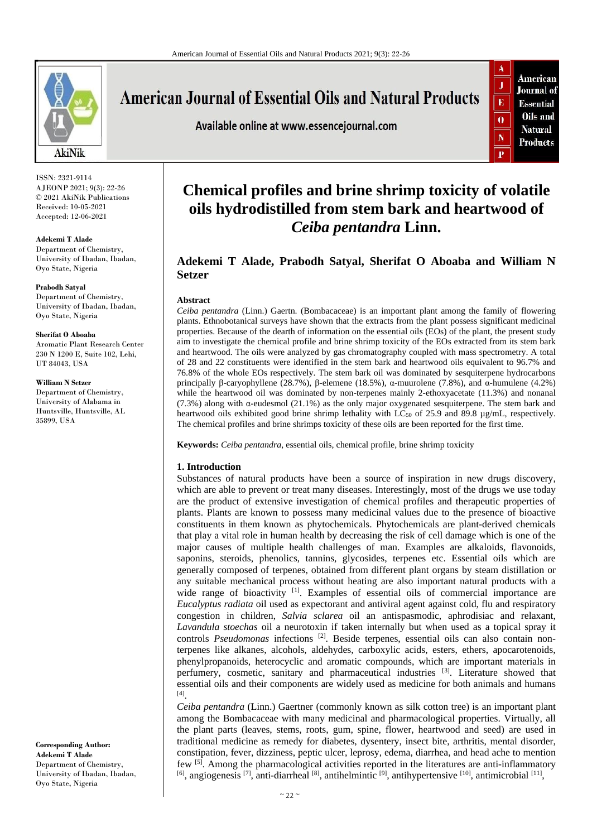

ISSN: 2321-9114 AJEONP 2021; 9(3): 22-26 © 2021 AkiNik Publications Received: 10-05-2021 Accepted: 12-06-2021

#### **Adekemi T Alade**

Department of Chemistry, University of Ibadan, Ibadan, Oyo State, Nigeria

**Prabodh Satyal** Department of Chemistry, University of Ibadan, Ibadan, Oyo State, Nigeria

#### **Sherifat O Aboaba**

Aromatic Plant Research Center 230 N 1200 E, Suite 102, Lehi, UT 84043, USA

**William N Setzer**

Department of Chemistry, University of Alabama in Huntsville, Huntsville, AL 35899, USA

**American Journal of Essential Oils and Natural Products** 

Available online at www.essencejournal.com



# **Chemical profiles and brine shrimp toxicity of volatile oils hydrodistilled from stem bark and heartwood of**  *Ceiba pentandra* **Linn.**

# **Adekemi T Alade, Prabodh Satyal, Sherifat O Aboaba and William N Setzer**

#### **Abstract**

*Ceiba pentandra* (Linn.) Gaertn. (Bombacaceae) is an important plant among the family of flowering plants. Ethnobotanical surveys have shown that the extracts from the plant possess significant medicinal properties. Because of the dearth of information on the essential oils (EOs) of the plant, the present study aim to investigate the chemical profile and brine shrimp toxicity of the EOs extracted from its stem bark and heartwood. The oils were analyzed by gas chromatography coupled with mass spectrometry. A total of 28 and 22 constituents were identified in the stem bark and heartwood oils equivalent to 96.7% and 76.8% of the whole EOs respectively. The stem bark oil was dominated by sesquiterpene hydrocarbons principally β-caryophyllene (28.7%), β-elemene (18.5%), α-muurolene (7.8%), and α-humulene (4.2%) while the heartwood oil was dominated by non-terpenes mainly 2-ethoxyacetate (11.3%) and nonanal (7.3%) along with  $\alpha$ -eudesmol (21.1%) as the only major oxygenated sesquiterpene. The stem bark and heartwood oils exhibited good brine shrimp lethality with LC $_{50}$  of 25.9 and 89.8  $\mu$ g/mL, respectively. The chemical profiles and brine shrimps toxicity of these oils are been reported for the first time.

**Keywords:** *Ceiba pentandra*, essential oils, chemical profile, brine shrimp toxicity

# **1. Introduction**

Substances of natural products have been a source of inspiration in new drugs discovery, which are able to prevent or treat many diseases. Interestingly, most of the drugs we use today are the product of extensive investigation of chemical profiles and therapeutic properties of plants. Plants are known to possess many medicinal values due to the presence of bioactive constituents in them known as phytochemicals. Phytochemicals are plant-derived chemicals that play a vital role in human health by decreasing the risk of cell damage which is one of the major causes of multiple health challenges of man. Examples are alkaloids, flavonoids, saponins, steroids, phenolics, tannins, glycosides, terpenes etc. Essential oils which are generally composed of terpenes, obtained from different plant organs by steam distillation or any suitable mechanical process without heating are also important natural products with a wide range of bioactivity <sup>[1]</sup>. Examples of essential oils of commercial importance are *Eucalyptus radiata* oil used as expectorant and antiviral agent against cold, flu and respiratory congestion in children, *Salvia sclarea* oil an antispasmodic, aphrodisiac and relaxant, *Lavandula stoechas* oil a neurotoxin if taken internally but when used as a topical spray it controls Pseudomonas infections<sup>[2]</sup>. Beside terpenes, essential oils can also contain nonterpenes like alkanes, alcohols, aldehydes, carboxylic acids, esters, ethers, apocarotenoids, phenylpropanoids, heterocyclic and aromatic compounds, which are important materials in perfumery, cosmetic, sanitary and pharmaceutical industries [3]. Literature showed that essential oils and their components are widely used as medicine for both animals and humans [4] .

*Ceiba pentandra* (Linn.) Gaertner (commonly known as silk cotton tree) is an important plant among the Bombacaceae with many medicinal and pharmacological properties. Virtually, all the plant parts (leaves, stems, roots, gum, spine, flower, heartwood and seed) are used in traditional medicine as remedy for diabetes, dysentery, insect bite, arthritis, mental disorder, constipation, fever, dizziness, peptic ulcer, leprosy, edema, diarrhea, and head ache to mention few <sup>[5]</sup>. Among the pharmacological activities reported in the literatures are anti-inflammatory  $[6]$ , angiogenesis  $[7]$ , anti-diarrheal  $[8]$ , antihelmintic  $[9]$ , antihypertensive  $[10]$ , antimicrobial  $[11]$ ,

**Corresponding Author: Adekemi T Alade** Department of Chemistry, University of Ibadan, Ibadan, Oyo State, Nigeria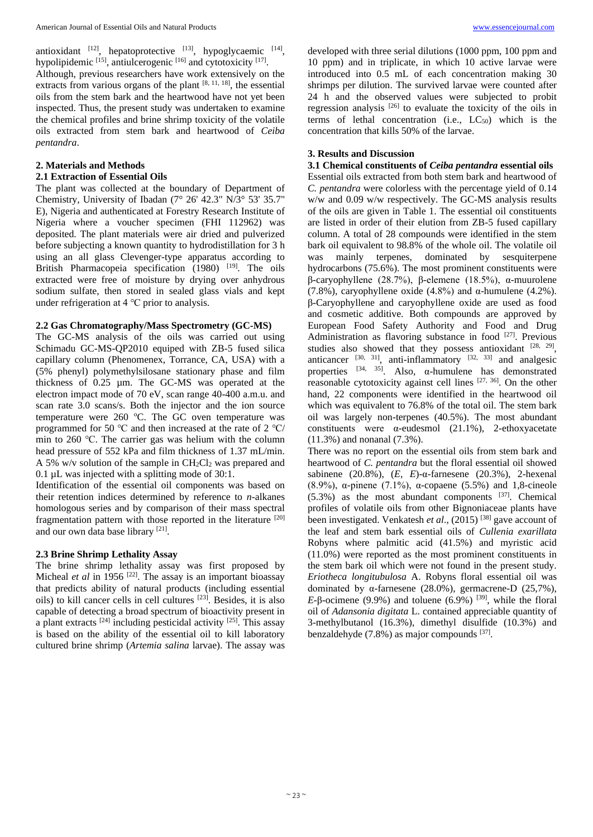antioxidant  $[12]$ , hepatoprotective  $[13]$ , hypoglycaemic  $[14]$ , hypolipidemic [15], antiulcerogenic [16] and cytotoxicity [17].

Although, previous researchers have work extensively on the extracts from various organs of the plant  $[8, 11, 18]$ , the essential oils from the stem bark and the heartwood have not yet been inspected. Thus, the present study was undertaken to examine the chemical profiles and brine shrimp toxicity of the volatile oils extracted from stem bark and heartwood of *Ceiba pentandra*.

## **2. Materials and Methods**

## **2.1 Extraction of Essential Oils**

The plant was collected at the boundary of Department of Chemistry, University of Ibadan (7° 26' 42.3" N/3° 53' 35.7" E), Nigeria and authenticated at Forestry Research Institute of Nigeria where a voucher specimen (FHI 112962) was deposited. The plant materials were air dried and pulverized before subjecting a known quantity to hydrodistillation for 3 h using an all glass Clevenger-type apparatus according to British Pharmacopeia specification (1980) <sup>[19]</sup>. The oils extracted were free of moisture by drying over anhydrous sodium sulfate, then stored in sealed glass vials and kept under refrigeration at 4 ℃ prior to analysis.

# **2.2 Gas Chromatography/Mass Spectrometry (GC-MS)**

The GC-MS analysis of the oils was carried out using Schimadu GC-MS-QP2010 equiped with ZB-5 fused silica capillary column (Phenomenex, Torrance, CA, USA) with a (5% phenyl) polymethylsilosane stationary phase and film thickness of 0.25 µm. The GC-MS was operated at the electron impact mode of 70 eV, scan range 40-400 a.m.u. and scan rate 3.0 scans/s. Both the injector and the ion source temperature were  $260$  °C. The GC oven temperature was programmed for 50 ℃ and then increased at the rate of 2 ℃/ min to 260 ℃. The carrier gas was helium with the column head pressure of 552 kPa and film thickness of 1.37 mL/min. A 5% w/v solution of the sample in  $CH_2Cl_2$  was prepared and 0.1 µL was injected with a splitting mode of 30:1.

Identification of the essential oil components was based on their retention indices determined by reference to *n*-alkanes homologous series and by comparison of their mass spectral fragmentation pattern with those reported in the literature [20] and our own data base library [21].

# **2.3 Brine Shrimp Lethality Assay**

The brine shrimp lethality assay was first proposed by Micheal *et al* in 1956<sup>[22]</sup>. The assay is an important bioassay that predicts ability of natural products (including essential oils) to kill cancer cells in cell cultures [23] . Besides, it is also capable of detecting a broad spectrum of bioactivity present in a plant extracts  $[24]$  including pesticidal activity  $[25]$ . This assay is based on the ability of the essential oil to kill laboratory cultured brine shrimp (*Artemia salina* larvae). The assay was developed with three serial dilutions (1000 ppm, 100 ppm and 10 ppm) and in triplicate, in which 10 active larvae were introduced into 0.5 mL of each concentration making 30 shrimps per dilution. The survived larvae were counted after 24 h and the observed values were subjected to probit regression analysis  $[26]$  to evaluate the toxicity of the oils in terms of lethal concentration (i.e.,  $LC_{50}$ ) which is the concentration that kills 50% of the larvae.

# **3. Results and Discussion**

## **3.1 Chemical constituents of** *Ceiba pentandra* **essential oils**

Essential oils extracted from both stem bark and heartwood of *C. pentandra* were colorless with the percentage yield of 0.14 w/w and 0.09 w/w respectively. The GC-MS analysis results of the oils are given in Table 1. The essential oil constituents are listed in order of their elution from ZB-5 fused capillary column. A total of 28 compounds were identified in the stem bark oil equivalent to 98.8% of the whole oil. The volatile oil was mainly terpenes, dominated by sesquiterpene hydrocarbons (75.6%). The most prominent constituents were β-caryophyllene (28.7%), β-elemene (18.5%), α-muurolene (7.8%), caryophyllene oxide (4.8%) and  $\alpha$ -humulene (4.2%). β-Caryophyllene and caryophyllene oxide are used as food and cosmetic additive. Both compounds are approved by European Food Safety Authority and Food and Drug Administration as flavoring substance in food [27]. Previous studies also showed that they possess antioxidant  $[28, 29]$ , anticancer  $[30, 31]$ , anti-inflammatory  $[32, 33]$  and analgesic properties  $[34, 35]$ . Also,  $\alpha$ -humulene has demonstrated reasonable cytotoxicity against cell lines [27, 36]. On the other hand, 22 components were identified in the heartwood oil which was equivalent to 76.8% of the total oil. The stem bark oil was largely non-terpenes (40.5%). The most abundant constituents were  $\alpha$ -eudesmol (21.1%), 2-ethoxyacetate (11.3%) and nonanal (7.3%).

There was no report on the essential oils from stem bark and heartwood of *C. pentandra* but the floral essential oil showed sabinene (20.8%), (*E*, *E*)-α-farnesene (20.3%), 2-hexenal (8.9%),  $\alpha$ -pinene (7.1%),  $\alpha$ -copaene (5.5%) and 1.8-cineole  $(5.3\%)$  as the most abundant components  $[37]$ . Chemical profiles of volatile oils from other Bignoniaceae plants have been investigated. Venkatesh et al., (2015)<sup>[38]</sup> gave account of the leaf and stem bark essential oils of *Cullenia exarillata* Robyns where palmitic acid (41.5%) and myristic acid (11.0%) were reported as the most prominent constituents in the stem bark oil which were not found in the present study. *Eriotheca longitubulosa* A. Robyns floral essential oil was dominated by α-farnesene (28.0%), germacrene-D (25,7%), *E*-β-ocimene (9.9%) and toluene (6.9%) <sup>[39]</sup>, while the floral oil of *Adansonia digitata* L. contained appreciable quantity of 3-methylbutanol (16.3%), dimethyl disulfide (10.3%) and benzaldehyde (7.8%) as major compounds [37].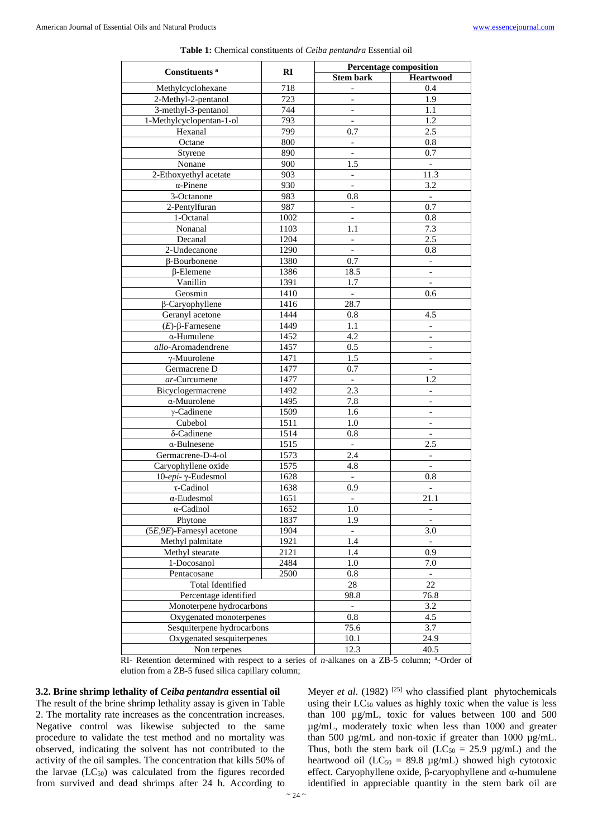|                              | RI   | Percentage composition    |                              |
|------------------------------|------|---------------------------|------------------------------|
| Constituents <sup>a</sup>    |      | <b>Stem bark</b>          | <b>Heartwood</b>             |
| Methylcyclohexane            | 718  |                           | 0.4                          |
| 2-Methyl-2-pentanol          | 723  | $\overline{a}$            | 1.9                          |
| 3-methyl-3-pentanol          | 744  | $\overline{\phantom{a}}$  | 1.1                          |
| 1-Methylcyclopentan-1-ol     | 793  | $\qquad \qquad -$         | 1.2                          |
| Hexanal                      | 799  | 0.7                       | 2.5                          |
| Octane                       | 800  |                           | 0.8                          |
| Styrene                      | 890  | $\overline{a}$            | 0.7                          |
| Nonane                       | 900  | 1.5                       | $\overline{\phantom{a}}$     |
| 2-Ethoxyethyl acetate        | 903  | $\qquad \qquad -$         | 11.3                         |
| $\alpha$ -Pinene             | 930  | $\overline{a}$            | 3.2                          |
| 3-Octanone                   | 983  | 0.8                       | $\Box$                       |
| 2-Pentylfuran                | 987  | $\overline{a}$            | 0.7                          |
| 1-Octanal                    | 1002 | $\overline{\phantom{a}}$  | 0.8                          |
| Nonanal                      | 1103 | 1.1                       | 7.3                          |
| Decanal                      | 1204 | $\equiv$                  | 2.5                          |
| 2-Undecanone                 | 1290 | $\overline{a}$            | 0.8                          |
| β-Bourbonene                 | 1380 | 0.7                       | $\overline{\phantom{a}}$     |
| <b>B-Elemene</b>             | 1386 | 18.5                      | $\overline{\phantom{a}}$     |
| Vanillin                     | 1391 | 1.7                       | $\overline{\phantom{a}}$     |
| Geosmin                      | 1410 | $\overline{a}$            | 0.6                          |
| β-Caryophyllene              | 1416 | 28.7                      |                              |
| Geranyl acetone              | 1444 | 0.8                       | 4.5                          |
| $(E)$ -β-Farnesene           | 1449 | 1.1                       | $\overline{\phantom{a}}$     |
| $\alpha$ -Humulene           | 1452 | 4.2                       | $\qquad \qquad \blacksquare$ |
| allo-Aromadendrene           | 1457 | 0.5                       | $\qquad \qquad -$            |
| $\gamma$ -Muurolene          | 1471 | 1.5                       | $\blacksquare$               |
| Germacrene D                 | 1477 | 0.7                       |                              |
| ar-Curcumene                 | 1477 | $\equiv$                  | 1.2                          |
| Bicyclogermacrene            | 1492 | 2.3                       |                              |
| $\alpha$ -Muurolene          | 1495 | 7.8                       | $\qquad \qquad -$            |
| $\gamma$ -Cadinene           | 1509 | 1.6                       |                              |
| Cubebol                      | 1511 | 1.0                       |                              |
| δ-Cadinene                   | 1514 | 0.8                       | $\overline{a}$               |
| $\alpha$ -Bulnesene          | 1515 | $\mathbb{L}^+$            | 2.5                          |
| Germacrene-D-4-ol            | 1573 | 2.4                       |                              |
| Caryophyllene oxide          | 1575 | 4.8                       | $\blacksquare$               |
| 10-epi-γ-Eudesmol            | 1628 | $\overline{\phantom{a}}$  | 0.8                          |
| $\tau$ -Cadinol              | 1638 | 0.9                       |                              |
| $\alpha$ -Eudesmol           | 1651 | $\equiv$                  | 21.1                         |
| $\alpha$ -Cadinol            | 1652 | 1.0                       | -                            |
| Phytone                      | 1837 | 1.9                       |                              |
| $(5E, 9E)$ -Farnesyl acetone | 1904 | $\blacksquare$            | 3.0                          |
| Methyl palmitate             | 1921 | 1.4                       |                              |
| Methyl stearate              | 2121 | 1.4                       | 0.9                          |
| 1-Docosanol                  | 2484 | 1.0                       | 7.0                          |
| Pentacosane                  | 2500 | 0.8                       |                              |
| <b>Total Identified</b>      |      | 28                        | 22                           |
| Percentage identified        |      | 98.8                      | 76.8                         |
| Monoterpene hydrocarbons     |      | $\mathbb{L}^{\mathbb{N}}$ | 3.2                          |
| Oxygenated monoterpenes      |      | 0.8                       | 4.5                          |
| Sesquiterpene hydrocarbons   |      | 75.6                      | 3.7                          |
| Oxygenated sesquiterpenes    |      | 10.1                      | 24.9                         |
| Non terpenes                 |      | 12.3                      | 40.5                         |

**Table 1:** Chemical constituents of *Ceiba pentandra* Essential oil

RI- Retention determined with respect to a series of *n*-alkanes on a ZB-5 column; <sup>a</sup>-Order of elution from a ZB-5 fused silica capillary column;

#### **3.2. Brine shrimp lethality of** *Ceiba pentandra* **essential oil**

The result of the brine shrimp lethality assay is given in Table 2. The mortality rate increases as the concentration increases. Negative control was likewise subjected to the same procedure to validate the test method and no mortality was observed, indicating the solvent has not contributed to the activity of the oil samples. The concentration that kills 50% of the larvae  $(LC_{50})$  was calculated from the figures recorded from survived and dead shrimps after 24 h. According to

Meyer *et al.* (1982)<sup>[25]</sup> who classified plant phytochemicals using their  $LC_{50}$  values as highly toxic when the value is less than 100 µg/mL, toxic for values between 100 and 500 µg/mL, moderately toxic when less than 1000 and greater than 500 µg/mL and non-toxic if greater than 1000 µg/mL. Thus, both the stem bark oil ( $LC_{50} = 25.9$  µg/mL) and the heartwood oil ( $LC_{50} = 89.8 \mu g/mL$ ) showed high cytotoxic effect. Caryophyllene oxide, β-caryophyllene and α-humulene identified in appreciable quantity in the stem bark oil are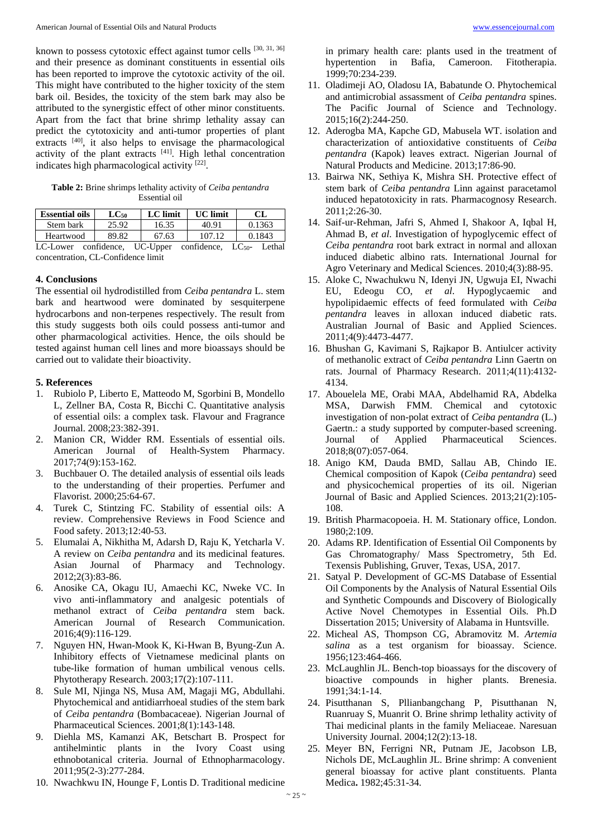known to possess cytotoxic effect against tumor cells [30, 31, 36] and their presence as dominant constituents in essential oils has been reported to improve the cytotoxic activity of the oil. This might have contributed to the higher toxicity of the stem bark oil. Besides, the toxicity of the stem bark may also be attributed to the synergistic effect of other minor constituents. Apart from the fact that brine shrimp lethality assay can predict the cytotoxicity and anti-tumor properties of plant extracts <sup>[40]</sup>, it also helps to envisage the pharmacological activity of the plant extracts  $[41]$ . High lethal concentration indicates high pharmacological activity [22].

**Table 2:** Brine shrimps lethality activity of *Ceiba pentandra* Essential oil

| <b>Essential oils</b>                                               | $LC_{50}$ | LC limit | <b>UC</b> limit | CL.    |  |  |
|---------------------------------------------------------------------|-----------|----------|-----------------|--------|--|--|
| Stem bark                                                           | 25.92     | 16.35    | 40.91           | 0.1363 |  |  |
| Heartwood                                                           | 89.82     | 67.63    | 107.12          | 0.1843 |  |  |
| LC-Lower confidence, UC-Upper confidence, LC <sub>50</sub> - Lethal |           |          |                 |        |  |  |
| concentration. CL-Confidence limit                                  |           |          |                 |        |  |  |

#### **4. Conclusions**

The essential oil hydrodistilled from *Ceiba pentandra* L. stem bark and heartwood were dominated by sesquiterpene hydrocarbons and non-terpenes respectively. The result from this study suggests both oils could possess anti-tumor and other pharmacological activities. Hence, the oils should be tested against human cell lines and more bioassays should be carried out to validate their bioactivity.

#### **5. References**

- 1. Rubiolo P, Liberto E, Matteodo M, Sgorbini B, Mondello L, Zellner BA, Costa R, Bicchi C. Quantitative analysis of essential oils: a complex task. Flavour and Fragrance Journal. 2008;23:382-391.
- 2. Manion CR, Widder RM. Essentials of essential oils. American Journal of Health-System Pharmacy. 2017;74(9):153-162.
- 3. Buchbauer O. The detailed analysis of essential oils leads to the understanding of their properties. Perfumer and Flavorist. 2000;25:64-67.
- 4. Turek C, Stintzing FC. Stability of essential oils: A review. Comprehensive Reviews in Food Science and Food safety. 2013;12:40-53.
- 5. Elumalai A, Nikhitha M, Adarsh D, Raju K, Yetcharla V. A review on *Ceiba pentandra* and its medicinal features. Asian Journal of Pharmacy and Technology. 2012;2(3):83-86.
- 6. Anosike CA, Okagu IU, Amaechi KC, Nweke VC. In vivo anti-inflammatory and analgesic potentials of methanol extract of *Ceiba pentandra* stem back. American Journal of Research Communication. 2016;4(9):116-129.
- 7. Nguyen HN, Hwan-Mook K, Ki-Hwan B, Byung-Zun A. Inhibitory effects of Vietnamese medicinal plants on tube-like formation of human umbilical venous cells. Phytotherapy Research. 2003;17(2):107-111.
- 8. Sule MI, Njinga NS, Musa AM, Magaji MG, Abdullahi. Phytochemical and antidiarrhoeal studies of the stem bark of *Ceiba pentandra* (Bombacaceae). Nigerian Journal of Pharmaceutical Sciences. 2001;8(1):143-148.
- 9. Diehla MS, Kamanzi AK, Betschart B. Prospect for antihelmintic plants in the Ivory Coast using ethnobotanical criteria. Journal of Ethnopharmacology. 2011;95(2-3):277-284.
- 10. Nwachkwu IN, Hounge F, Lontis D. Traditional medicine

in primary health care: plants used in the treatment of hypertention in Bafia, Cameroon. Fitotherapia. 1999;70:234-239.

- 11. Oladimeji AO, Oladosu IA, Babatunde O. Phytochemical and antimicrobial assassment of *Ceiba pentandra* spines. The Pacific Journal of Science and Technology. 2015;16(2):244-250.
- 12. Aderogba MA, Kapche GD, Mabusela WT. isolation and characterization of antioxidative constituents of *Ceiba pentandra* (Kapok) leaves extract. Nigerian Journal of Natural Products and Medicine. 2013;17:86-90.
- 13. Bairwa NK, Sethiya K, Mishra SH. Protective effect of stem bark of *Ceiba pentandra* Linn against paracetamol induced hepatotoxicity in rats. Pharmacognosy Research. 2011;2:26-30.
- 14. Saif-ur-Rehman, Jafri S, Ahmed I, Shakoor A, Iqbal H, Ahmad B, *et al*. Investigation of hypoglycemic effect of *Ceiba pentandra* root bark extract in normal and alloxan induced diabetic albino rats. International Journal for Agro Veterinary and Medical Sciences. 2010;4(3):88-95.
- 15. Aloke C, Nwachukwu N, Idenyi JN, Ugwuja EI, Nwachi EU, Edeogu CO, *et al*. Hypoglycaemic and hypolipidaemic effects of feed formulated with *Ceiba pentandra* leaves in alloxan induced diabetic rats. Australian Journal of Basic and Applied Sciences. 2011;4(9):4473-4477.
- 16. Bhushan G, Kavimani S, Rajkapor B. Antiulcer activity of methanolic extract of *Ceiba pentandra* Linn Gaertn on rats. Journal of Pharmacy Research. 2011;4(11):4132- 4134.
- 17. Abouelela ME, Orabi MAA, Abdelhamid RA, Abdelka MSA, Darwish FMM. Chemical and cytotoxic investigation of non-polat extract of *Ceiba pentandra* (L.) Gaertn.: a study supported by computer-based screening. Journal of Applied Pharmaceutical Sciences. 2018;8(07):057-064.
- 18. Anigo KM, Dauda BMD, Sallau AB, Chindo IE. Chemical composition of Kapok (*Ceiba pentandra*) seed and physicochemical properties of its oil. Nigerian Journal of Basic and Applied Sciences. 2013;21(2):105- 108.
- 19. British Pharmacopoeia. H. M. Stationary office, London. 1980;2:109.
- 20. Adams RP. Identification of Essential Oil Components by Gas Chromatography/ Mass Spectrometry, 5th Ed. Texensis Publishing, Gruver, Texas, USA, 2017.
- 21. Satyal P. Development of GC-MS Database of Essential Oil Components by the Analysis of Natural Essential Oils and Synthetic Compounds and Discovery of Biologically Active Novel Chemotypes in Essential Oils. Ph.D Dissertation 2015; University of Alabama in Huntsville.
- 22. Micheal AS, Thompson CG, Abramovitz M. *Artemia salina* as a test organism for bioassay. Science. 1956;123:464-466.
- 23. McLaughlin JL. Bench-top bioassays for the discovery of bioactive compounds in higher plants. Brenesia. 1991;34:1-14.
- 24. Pisutthanan S, Pllianbangchang P, Pisutthanan N, Ruanruay S, Muanrit O. Brine shrimp lethality activity of Thai medicinal plants in the family Meliaceae. Naresuan University Journal. 2004;12(2):13-18.
- 25. Meyer BN, Ferrigni NR, Putnam JE, Jacobson LB, Nichols DE, McLaughlin JL. Brine shrimp: A convenient general bioassay for active plant constituents. Planta Medica**.** 1982;45:31-34.